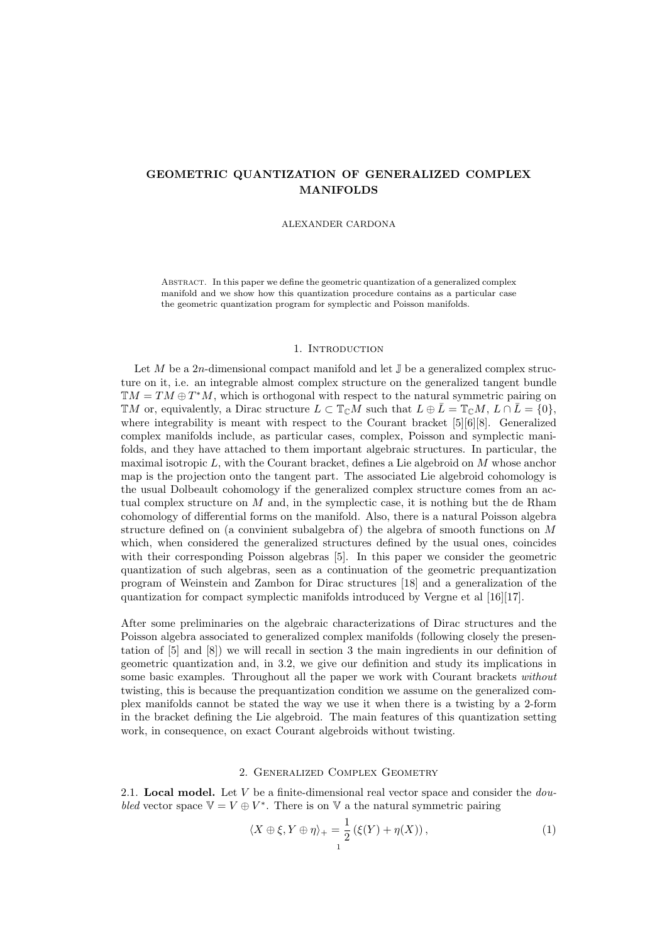# GEOMETRIC QUANTIZATION OF GENERALIZED COMPLEX MANIFOLDS

#### ALEXANDER CARDONA

Abstract. In this paper we define the geometric quantization of a generalized complex manifold and we show how this quantization procedure contains as a particular case the geometric quantization program for symplectic and Poisson manifolds.

### 1. INTRODUCTION

Let M be a 2n-dimensional compact manifold and let  $\mathbb J$  be a generalized complex structure on it, i.e. an integrable almost complex structure on the generalized tangent bundle  $TM = TM \oplus T^*M$ , which is orthogonal with respect to the natural symmetric pairing on  $\mathbb{T}M$  or, equivalently, a Dirac structure  $L \subset \mathbb{T}_{\mathbb{C}}M$  such that  $L \oplus \overline{L} = \mathbb{T}_{\mathbb{C}}M$ ,  $L \cap \overline{L} = \{0\}$ , where integrability is meant with respect to the Courant bracket [5][6][8]. Generalized complex manifolds include, as particular cases, complex, Poisson and symplectic manifolds, and they have attached to them important algebraic structures. In particular, the maximal isotropic  $L$ , with the Courant bracket, defines a Lie algebroid on  $M$  whose anchor map is the projection onto the tangent part. The associated Lie algebroid cohomology is the usual Dolbeault cohomology if the generalized complex structure comes from an actual complex structure on  $M$  and, in the symplectic case, it is nothing but the de Rham cohomology of differential forms on the manifold. Also, there is a natural Poisson algebra structure defined on (a convinient subalgebra of) the algebra of smooth functions on M which, when considered the generalized structures defined by the usual ones, coincides with their corresponding Poisson algebras [5]. In this paper we consider the geometric quantization of such algebras, seen as a continuation of the geometric prequantization program of Weinstein and Zambon for Dirac structures [18] and a generalization of the quantization for compact symplectic manifolds introduced by Vergne et al [16][17].

After some preliminaries on the algebraic characterizations of Dirac structures and the Poisson algebra associated to generalized complex manifolds (following closely the presentation of [5] and [8]) we will recall in section 3 the main ingredients in our definition of geometric quantization and, in 3.2, we give our definition and study its implications in some basic examples. Throughout all the paper we work with Courant brackets without twisting, this is because the prequantization condition we assume on the generalized complex manifolds cannot be stated the way we use it when there is a twisting by a 2-form in the bracket defining the Lie algebroid. The main features of this quantization setting work, in consequence, on exact Courant algebroids without twisting.

## 2. Generalized Complex Geometry

2.1. Local model. Let V be a finite-dimensional real vector space and consider the  $dou$ bled vector space  $V = V \oplus V^*$ . There is on V a the natural symmetric pairing

$$
\langle X \oplus \xi, Y \oplus \eta \rangle_{+} = \frac{1}{2} \left( \xi(Y) + \eta(X) \right),\tag{1}
$$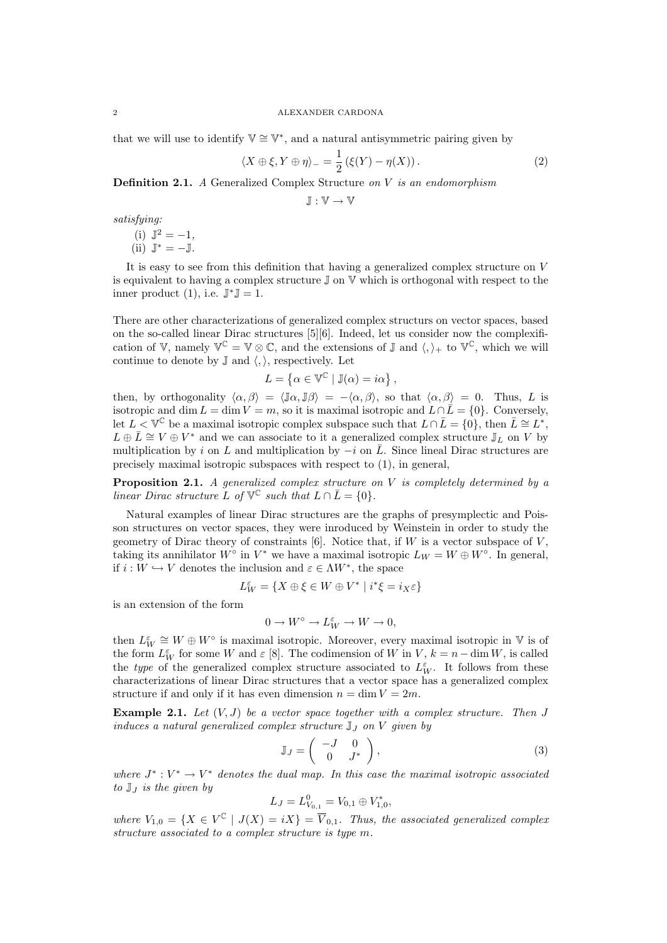that we will use to identify  $\mathbb{V} \cong \mathbb{V}^*$ , and a natural antisymmetric pairing given by

$$
\langle X \oplus \xi, Y \oplus \eta \rangle_{-} = \frac{1}{2} \left( \xi(Y) - \eta(X) \right). \tag{2}
$$

**Definition 2.1.** A Generalized Complex Structure on V is an endomorphism

 $J: V \rightarrow V$ 

satisfying:

(i)  $\mathbb{J}^2 = -1$ ,  $(ii) \mathbb{J}^* = -\mathbb{J}.$ 

It is easy to see from this definition that having a generalized complex structure on V is equivalent to having a complex structure  $\mathbb J$  on  $\mathbb V$  which is orthogonal with respect to the inner product  $(1)$ , i.e.  $\mathbb{J}^*\mathbb{J} = 1$ .

There are other characterizations of generalized complex structurs on vector spaces, based on the so-called linear Dirac structures [5][6]. Indeed, let us consider now the complexification of V, namely  $\mathbb{V}^{\mathbb{C}} = \mathbb{V} \otimes \mathbb{C}$ , and the extensions of J and  $\langle, \rangle_+$  to  $\mathbb{V}^{\mathbb{C}}$ , which we will continue to denote by  $\mathbb{J}$  and  $\langle, \rangle$ , respectively. Let

$$
L = \{ \alpha \in \mathbb{V}^{\mathbb{C}} \mid \mathbb{J}(\alpha) = i\alpha \},
$$

then, by orthogonality  $\langle \alpha, \beta \rangle = \langle \mathbb{J}\alpha, \mathbb{J}\beta \rangle = -\langle \alpha, \beta \rangle$ , so that  $\langle \alpha, \beta \rangle = 0$ . Thus, L is isotropic and dim  $L = \dim V = m$ , so it is maximal isotropic and  $L \cap \overline{L} = \{0\}$ . Conversely, let  $L < \mathbb{V}^{\mathbb{C}}$  be a maximal isotropic complex subspace such that  $L \cap \overline{L} = \{0\}$ , then  $\overline{L} \cong L^*$ ,  $L \oplus \overline{L} \cong V \oplus V^*$  and we can associate to it a generalized complex structure  $\mathbb{J}_L$  on V by multiplication by i on L and multiplication by  $-i$  on  $\overline{L}$ . Since lineal Dirac structures are precisely maximal isotropic subspaces with respect to (1), in general,

**Proposition 2.1.** A generalized complex structure on  $V$  is completely determined by a linear Dirac structure L of  $\mathbb{V}^{\mathbb{C}}$  such that  $L \cap \overline{L} = \{0\}.$ 

Natural examples of linear Dirac structures are the graphs of presymplectic and Poisson structures on vector spaces, they were inroduced by Weinstein in order to study the geometry of Dirac theory of constraints  $[6]$ . Notice that, if W is a vector subspace of V, taking its annihilator  $W^{\circ}$  in  $V^*$  we have a maximal isotropic  $L_W = W \oplus W^{\circ}$ . In general, if  $i: W \hookrightarrow V$  denotes the inclusion and  $\varepsilon \in \Lambda W^*$ , the space

$$
L_W^\varepsilon=\{X\oplus\xi\in W\oplus V^*\mid i^*\xi=i_X\varepsilon\}
$$

is an extension of the form

$$
0 \to W^{\circ} \to L_W^{\varepsilon} \to W \to 0,
$$

then  $L_W^{\varepsilon} \cong W \oplus W^{\circ}$  is maximal isotropic. Moreover, every maximal isotropic in V is of the form  $L_W^{\varepsilon}$  for some W and  $\varepsilon$  [8]. The codimension of W in V,  $k = n - \dim W$ , is called the type of the generalized complex structure associated to  $L_W^{\varepsilon}$ . It follows from these characterizations of linear Dirac structures that a vector space has a generalized complex structure if and only if it has even dimension  $n = \dim V = 2m$ .

**Example 2.1.** Let  $(V, J)$  be a vector space together with a complex structure. Then J induces a natural generalized complex structure  $\mathbb{J}_J$  on  $V$  given by

$$
\mathbb{J}_J = \begin{pmatrix} -J & 0 \\ 0 & J^* \end{pmatrix},\tag{3}
$$

where  $J^*: V^* \to V^*$  denotes the dual map. In this case the maximal isotropic associated to  $\mathbb{J}_I$  is the given by

$$
L_J = L^0_{V_{0,1}} = V_{0,1} \oplus V_{1,0}^*,
$$

where  $V_{1,0} = \{X \in V^{\mathbb{C}} \mid J(X) = iX\} = \overline{V}_{0,1}$ . Thus, the associated generalized complex structure associated to a complex structure is type m.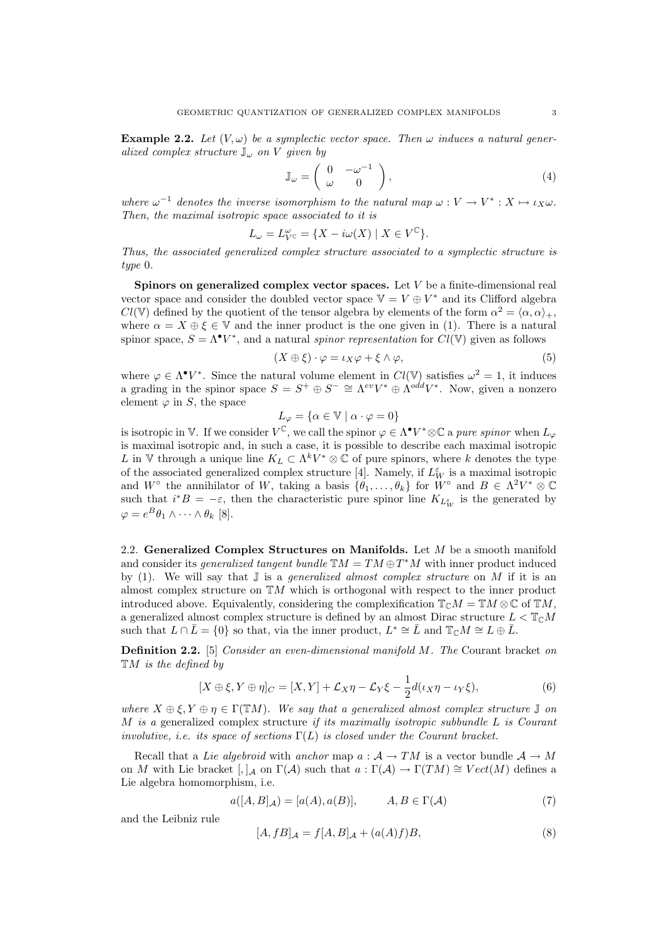**Example 2.2.** Let  $(V, \omega)$  be a symplectic vector space. Then  $\omega$  induces a natural generalized complex structure  $\mathbb{J}_{\omega}$  on V given by

$$
\mathbb{J}_{\omega} = \begin{pmatrix} 0 & -\omega^{-1} \\ \omega & 0 \end{pmatrix}, \tag{4}
$$

where  $\omega^{-1}$  denotes the inverse isomorphism to the natural map  $\omega : V \to V^* : X \mapsto \iota_X \omega$ . Then, the maximal isotropic space associated to it is

$$
L_{\omega} = L_{V^{\mathbb{C}}}^{\omega} = \{ X - i\omega(X) \mid X \in V^{\mathbb{C}} \}.
$$

Thus, the associated generalized complex structure associated to a symplectic structure is type 0.

Spinors on generalized complex vector spaces. Let V be a finite-dimensional real vector space and consider the doubled vector space  $\mathbb{V} = V \oplus V^*$  and its Clifford algebra  $Cl(\mathbb{V})$  defined by the quotient of the tensor algebra by elements of the form  $\alpha^2 = \langle \alpha, \alpha \rangle_+,$ where  $\alpha = X \oplus \xi \in V$  and the inner product is the one given in (1). There is a natural spinor space,  $S = \Lambda^{\bullet} V^*$ , and a natural spinor representation for  $Cl(V)$  given as follows

$$
(X \oplus \xi) \cdot \varphi = \iota_X \varphi + \xi \wedge \varphi,\tag{5}
$$

where  $\varphi \in \Lambda^{\bullet} V^*$ . Since the natural volume element in  $Cl(V)$  satisfies  $\omega^2 = 1$ , it induces a grading in the spinor space  $S = S^+ \oplus S^- \cong \Lambda^{ev} V^* \oplus \Lambda^{odd} V^*$ . Now, given a nonzero element  $\varphi$  in S, the space

$$
L_{\varphi} = \{ \alpha \in \mathbb{V} \mid \alpha \cdot \varphi = 0 \}
$$

is isotropic in V. If we consider  $V^{\mathbb{C}}$ , we call the spinor  $\varphi \in \Lambda^{\bullet} V^* \otimes \mathbb{C}$  a pure spinor when  $L_{\varphi}$ is maximal isotropic and, in such a case, it is possible to describe each maximal isotropic L in V through a unique line  $K_L \subset \Lambda^k V^* \otimes \mathbb{C}$  of pure spinors, where k denotes the type of the associated generalized complex structure [4]. Namely, if  $L_W^{\varepsilon}$  is a maximal isotropic and  $W^{\circ}$  the annihilator of W, taking a basis  $\{\theta_1,\ldots,\theta_k\}$  for  $W^{\circ}$  and  $B \in \Lambda^2 V^* \otimes \mathbb{C}$ such that  $i^*B = -\varepsilon$ , then the characteristic pure spinor line  $K_{L_W^{\varepsilon}}$  is the generated by  $\varphi = e^{B} \theta_1 \wedge \cdots \wedge \theta_k$  [8].

2.2. Generalized Complex Structures on Manifolds. Let M be a smooth manifold and consider its *generalized tangent bundle*  $\mathbb{T}M = TM \oplus T^*M$  with inner product induced by (1). We will say that  $\mathbb J$  is a *generalized almost complex structure* on M if it is an almost complex structure on  $TM$  which is orthogonal with respect to the inner product introduced above. Equivalently, considering the complexification  $\mathbb{T}_{\mathbb{C}}M = \mathbb{T}M \otimes \mathbb{C}$  of  $\mathbb{T}M$ , a generalized almost complex structure is defined by an almost Dirac structure  $L < \mathbb{T}_{\mathbb{C}}M$ such that  $L \cap \overline{L} = \{0\}$  so that, via the inner product,  $L^* \cong \overline{L}$  and  $\mathbb{T}_{\mathbb{C}}M \cong L \oplus \overline{L}$ .

Definition 2.2. [5] Consider an even-dimensional manifold M. The Courant bracket on  $\mathbb{T}M$  is the defined by

$$
[X \oplus \xi, Y \oplus \eta]_C = [X, Y] + \mathcal{L}_X \eta - \mathcal{L}_Y \xi - \frac{1}{2} d(\iota_X \eta - \iota_Y \xi), \tag{6}
$$

where  $X \oplus \xi, Y \oplus \eta \in \Gamma(\mathbb{T}M)$ . We say that a generalized almost complex structure  $\mathbb J$  on M is a generalized complex structure if its maximally isotropic subbundle  $L$  is Courant involutive, i.e. its space of sections  $\Gamma(L)$  is closed under the Courant bracket.

Recall that a Lie algebroid with anchor map  $a : A \to TM$  is a vector bundle  $A \to M$ on M with Lie bracket  $\lceil$ , |A on  $\Gamma(\mathcal{A})$  such that  $a : \Gamma(\mathcal{A}) \to \Gamma(TM) \cong Vect(M)$  defines a Lie algebra homomorphism, i.e.

$$
a([A, B]_{\mathcal{A}}) = [a(A), a(B)], \qquad A, B \in \Gamma(\mathcal{A})
$$
\n<sup>(7)</sup>

and the Leibniz rule

$$
[A, fB]_{\mathcal{A}} = f[A, B]_{\mathcal{A}} + (a(A)f)B,\tag{8}
$$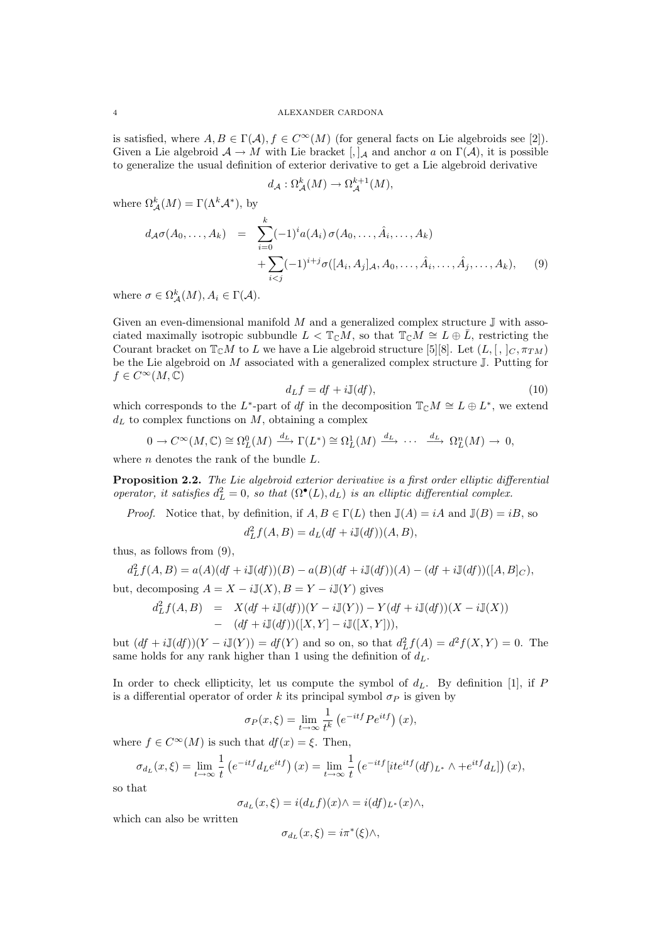is satisfied, where  $A, B \in \Gamma(\mathcal{A}), f \in C^{\infty}(M)$  (for general facts on Lie algebroids see [2]). Given a Lie algebroid  $A \to M$  with Lie bracket  $[,]_A$  and anchor a on  $\Gamma(\mathcal{A})$ , it is possible to generalize the usual definition of exterior derivative to get a Lie algebroid derivative

$$
d_{\mathcal{A}}: \Omega_{\mathcal{A}}^k(M) \to \Omega_{\mathcal{A}}^{k+1}(M),
$$

where  $\Omega_{\mathcal{A}}^{k}(M) = \Gamma(\Lambda^{k} \mathcal{A}^{*}),$  by

$$
d_{\mathcal{A}}\sigma(A_0,\ldots,A_k) = \sum_{i=0}^k (-1)^i a(A_i) \sigma(A_0,\ldots,\hat{A}_i,\ldots,A_k) + \sum_{i < j} (-1)^{i+j} \sigma([A_i,A_j]_{\mathcal{A}},A_0,\ldots,\hat{A}_i,\ldots,\hat{A}_j,\ldots,A_k), \quad (9)
$$

where  $\sigma \in \Omega_{\mathcal{A}}^{k}(M), A_{i} \in \Gamma(\mathcal{A})$ .

Given an even-dimensional manifold  $M$  and a generalized complex structure  $\mathbb J$  with associated maximally isotropic subbundle  $L < \mathbb{T}_{\mathbb{C}}M$ , so that  $\mathbb{T}_{\mathbb{C}}M \cong L \oplus \overline{L}$ , restricting the Courant bracket on  $\mathbb{T}_{\mathbb{C}}M$  to L we have a Lie algebroid structure [5][8]. Let  $(L, [\, , \, ]_C, \pi_{TM})$ be the Lie algebroid on  $M$  associated with a generalized complex structure  $J$ . Putting for  $f \in C^{\infty}(M, \mathbb{C})$ 

$$
d_L f = df + i \mathbb{J}(df),\tag{10}
$$

which corresponds to the L<sup>\*</sup>-part of df in the decomposition  $\mathbb{T}_{\mathbb{C}}M \cong L \oplus L^*$ , we extend  $d<sub>L</sub>$  to complex functions on  $M$ , obtaining a complex

$$
0 \to C^{\infty}(M, \mathbb{C}) \cong \Omega_L^0(M) \xrightarrow{d_L} \Gamma(L^*) \cong \Omega_L^1(M) \xrightarrow{d_L} \cdots \xrightarrow{d_L} \Omega_L^n(M) \to 0,
$$

where  $n$  denotes the rank of the bundle  $L$ .

Proposition 2.2. The Lie algebroid exterior derivative is a first order elliptic differential operator, it satisfies  $d_L^2 = 0$ , so that  $(\Omega^{\bullet}(L), d_L)$  is an elliptic differential complex.

*Proof.* Notice that, by definition, if  $A, B \in \Gamma(L)$  then  $\mathbb{J}(A) = iA$  and  $\mathbb{J}(B) = iB$ , so  $d_L^2 f(A, B) = d_L(df + iJ(df))(A, B),$ 

thus, as follows from (9),

$$
d_L^2 f(A, B) = a(A)(df + i\mathbb{J}(df))(B) - a(B)(df + i\mathbb{J}(df))(A) - (df + i\mathbb{J}(df))([A, B]_C),
$$
but, decomposing  $A = X - i\mathbb{J}(X), B = Y - i\mathbb{J}(Y)$  gives

$$
d_L^2 f(A, B) = X(df + i\mathbb{J}(df))(Y - i\mathbb{J}(Y)) - Y(df + i\mathbb{J}(df))(X - i\mathbb{J}(X))
$$
  
 
$$
- (df + i\mathbb{J}(df))([X, Y] - i\mathbb{J}([X, Y])),
$$

but  $(df + i\mathbb{J}(df))(Y - i\mathbb{J}(Y)) = df(Y)$  and so on, so that  $d_L^2 f(A) = d^2 f(X, Y) = 0$ . The same holds for any rank higher than 1 using the definition of  $d_L$ .

In order to check ellipticity, let us compute the symbol of  $d_L$ . By definition [1], if P is a differential operator of order k its principal symbol  $\sigma_P$  is given by

$$
\sigma_P(x,\xi) = \lim_{t \to \infty} \frac{1}{t^k} \left( e^{-itf} P e^{itf} \right)(x),
$$

where  $f \in C^{\infty}(M)$  is such that  $df(x) = \xi$ . Then,

$$
\sigma_{d_L}(x,\xi) = \lim_{t \to \infty} \frac{1}{t} \left( e^{-itf} d_L e^{itf} \right)(x) = \lim_{t \to \infty} \frac{1}{t} \left( e^{-itf} \left[ it e^{itf} (df)_{L^*} \wedge + e^{itf} d_L \right] \right)(x),
$$

so that

$$
\sigma_{d_L}(x,\xi) = i(d_L f)(x) \wedge = i(df)_{L^*}(x) \wedge,
$$

which can also be written

$$
\sigma_{d_L}(x,\xi) = i\pi^*(\xi)\wedge,
$$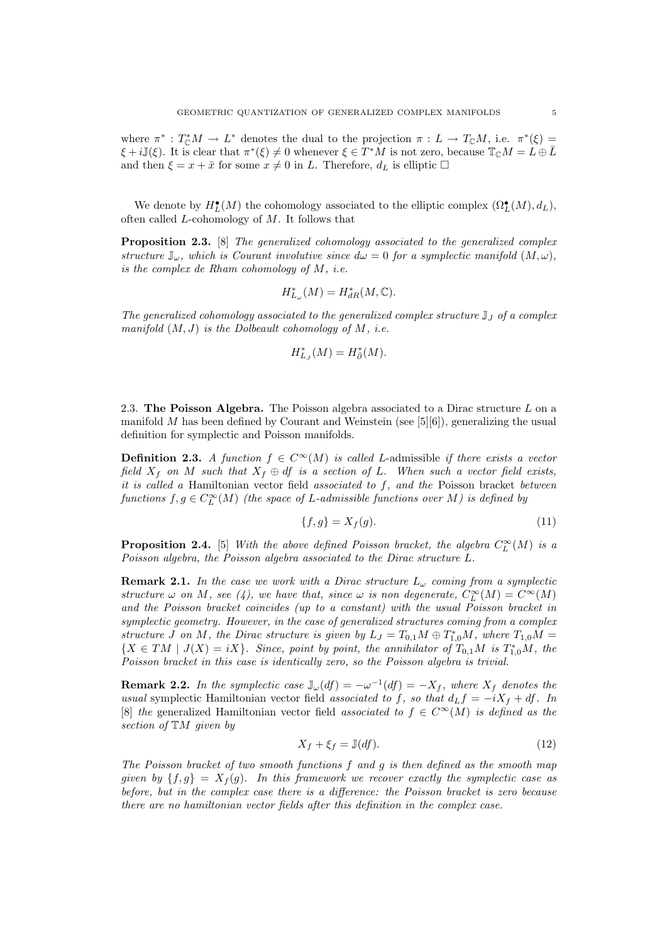where  $\pi^*: T^*_{\mathbb{C}}M \to L^*$  denotes the dual to the projection  $\pi: L \to T_{\mathbb{C}}M$ , i.e.  $\pi^*(\xi) =$  $\xi + i \mathbb{J}(\xi)$ . It is clear that  $\pi^*(\xi) \neq 0$  whenever  $\xi \in T^*M$  is not zero, because  $\mathbb{T}_{\mathbb{C}}M = L \oplus \overline{L}$ and then  $\xi = x + \bar{x}$  for some  $x \neq 0$  in L. Therefore,  $d_L$  is elliptic  $\Box$ 

We denote by  $H^{\bullet}_L(M)$  the cohomology associated to the elliptic complex  $(\Omega^{\bullet}_L(M), d_L)$ , often called  $L$ -cohomology of  $M$ . It follows that

**Proposition 2.3.** [8] The generalized cohomology associated to the generalized complex structure  $\mathbb{J}_{\omega}$ , which is Courant involutive since  $d\omega = 0$  for a symplectic manifold  $(M, \omega)$ , is the complex de Rham cohomology of M, i.e.

$$
H^*_{L_\omega}(M) = H^*_{dR}(M, \mathbb{C}).
$$

The generalized cohomology associated to the generalized complex structure  $\mathbb{J}_I$  of a complex manifold  $(M, J)$  is the Dolbeault cohomology of M, i.e.

$$
H^*_{L_J}(M)=H^*_{\bar{\partial}}(M).
$$

2.3. The Poisson Algebra. The Poisson algebra associated to a Dirac structure  $L$  on a manifold  $M$  has been defined by Courant and Weinstein (see [5][6]), generalizing the usual definition for symplectic and Poisson manifolds.

**Definition 2.3.** A function  $f \in C^{\infty}(M)$  is called L-admissible if there exists a vector field  $X_f$  on M such that  $X_f \oplus df$  is a section of L. When such a vector field exists, it is called a Hamiltonian vector field associated to  $f$ , and the Poisson bracket between functions  $f, g \in C^{\infty}_L(M)$  (the space of L-admissible functions over M) is defined by

$$
\{f,g\} = X_f(g). \tag{11}
$$

**Proposition 2.4.** [5] With the above defined Poisson bracket, the algebra  $C_{L}^{\infty}(M)$  is a Poisson algebra, the Poisson algebra associated to the Dirac structure L.

**Remark 2.1.** In the case we work with a Dirac structure  $L_{\omega}$  coming from a symplectic structure  $\omega$  on M, see (4), we have that, since  $\omega$  is non degenerate,  $C^{\infty}_L(M) = C^{\infty}(M)$ and the Poisson bracket coincides (up to a constant) with the usual Poisson bracket in symplectic geometry. However, in the case of generalized structures coming from a complex structure J on M, the Dirac structure is given by  $L_J = T_{0,1}M \oplus T_{1,0}^*M$ , where  $T_{1,0}M =$  ${X \in TM \mid J(X) = iX}.$  Since, point by point, the annihilator of  $T_{0,1}M$  is  $T_{1,0}^*M$ , the Poisson bracket in this case is identically zero, so the Poisson algebra is trivial.

**Remark 2.2.** In the symplectic case  $\mathbb{J}_{\omega}(df) = -\omega^{-1}(df) = -X_f$ , where  $X_f$  denotes the usual symplectic Hamiltonian vector field associated to f, so that  $d_L f = -iX_f + df$ . In [8] the generalized Hamiltonian vector field associated to  $f \in C^{\infty}(M)$  is defined as the section of TM given by

$$
X_f + \xi_f = \mathbb{J}(df). \tag{12}
$$

The Poisson bracket of two smooth functions  $f$  and  $g$  is then defined as the smooth map given by  $\{f, g\} = X_f(g)$ . In this framework we recover exactly the symplectic case as before, but in the complex case there is a difference: the Poisson bracket is zero because there are no hamiltonian vector fields after this definition in the complex case.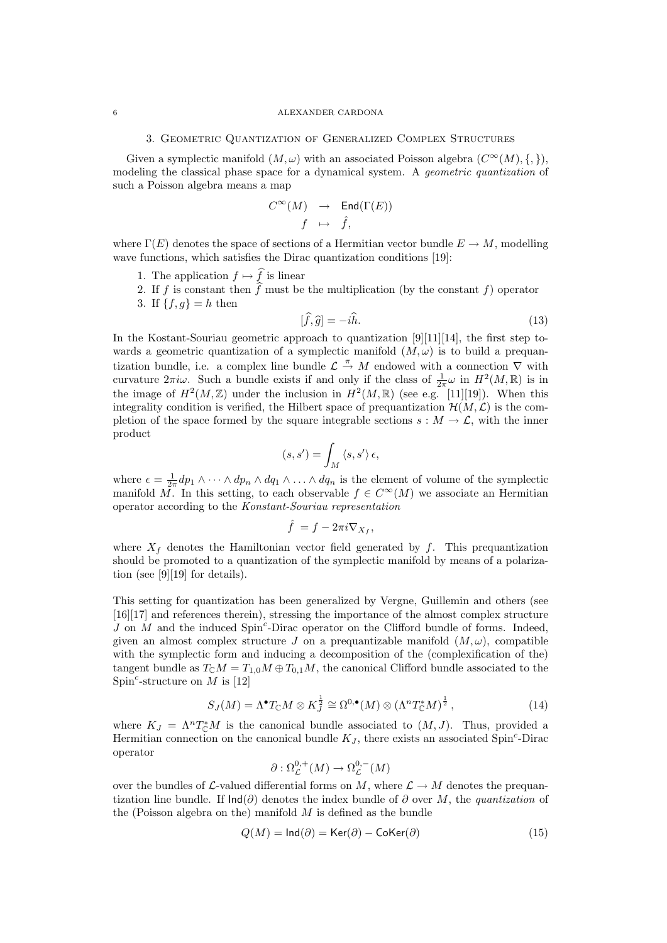#### 6 ALEXANDER CARDONA

## 3. Geometric Quantization of Generalized Complex Structures

Given a symplectic manifold  $(M, \omega)$  with an associated Poisson algebra  $(C^{\infty}(M), \{, \})$ , modeling the classical phase space for a dynamical system. A *geometric quantization* of such a Poisson algebra means a map

$$
\begin{array}{ccc} C^{\infty}(M) & \to & \operatorname{End}(\Gamma(E)) \\ f & \mapsto & \widehat{f}, \end{array}
$$

where  $\Gamma(E)$  denotes the space of sections of a Hermitian vector bundle  $E \to M$ , modelling wave functions, which satisfies the Dirac quantization conditions [19]:

- 1. The application  $f \mapsto f$  is linear
- 2. If f is constant then f must be the multiplication (by the constant f) operator
- 3. If  $\{f, g\} = h$  then

$$
[\hat{f}, \hat{g}] = -i\hat{h}.\tag{13}
$$

In the Kostant-Souriau geometric approach to quantization [9][11][14], the first step towards a geometric quantization of a symplectic manifold  $(M, \omega)$  is to build a prequantization bundle, i.e. a complex line bundle  $\mathcal{L} \stackrel{\pi}{\rightarrow} M$  endowed with a connection  $\nabla$  with curvature  $2\pi i\omega$ . Such a bundle exists if and only if the class of  $\frac{1}{2\pi}\omega$  in  $H^2(M,\mathbb{R})$  is in the image of  $H^2(M,\mathbb{Z})$  under the inclusion in  $H^2(M,\mathbb{R})$  (see e.g. [11][19]). When this integrality condition is verified, the Hilbert space of prequantization  $\mathcal{H}(M,\mathcal{L})$  is the completion of the space formed by the square integrable sections  $s : M \to \mathcal{L}$ , with the inner product

$$
(s,s')=\int_M \left\langle s,s'\right\rangle \epsilon,
$$

where  $\epsilon = \frac{1}{2\pi}dp_1 \wedge \cdots \wedge dp_n \wedge dq_1 \wedge \ldots \wedge dq_n$  is the element of volume of the symplectic manifold  $\overline{M}$ . In this setting, to each observable  $f \in C^{\infty}(M)$  we associate an Hermitian operator according to the Konstant-Souriau representation

$$
\hat{f} = f - 2\pi i \nabla_{X_f},
$$

where  $X_f$  denotes the Hamiltonian vector field generated by  $f$ . This prequantization should be promoted to a quantization of the symplectic manifold by means of a polarization (see [9][19] for details).

This setting for quantization has been generalized by Vergne, Guillemin and others (see [16][17] and references therein), stressing the importance of the almost complex structure  $J$  on  $\dot{M}$  and the induced Spin<sup>c</sup>-Dirac operator on the Clifford bundle of forms. Indeed, given an almost complex structure J on a prequantizable manifold  $(M, \omega)$ , compatible with the symplectic form and inducing a decomposition of the (complexification of the) tangent bundle as  $T_{\mathbb{C}}M = T_{1,0}M \oplus T_{0,1}M$ , the canonical Clifford bundle associated to the Spin<sup>c</sup>-structure on M is [12]

$$
S_J(M) = \Lambda^{\bullet} T_{\mathbb{C}} M \otimes K_J^{\frac{1}{2}} \cong \Omega^{0,\bullet}(M) \otimes (\Lambda^n T_{\mathbb{C}}^* M)^{\frac{1}{2}},\tag{14}
$$

where  $K_J = \Lambda^n T_{\mathbb{C}}^* M$  is the canonical bundle associated to  $(M, J)$ . Thus, provided a Hermitian connection on the canonical bundle  $K_J$ , there exists an associated Spin<sup>c</sup>-Dirac operator

$$
\partial : \Omega^{0,+}_{\mathcal{L}}(M) \to \Omega^{0,-}_{\mathcal{L}}(M)
$$

over the bundles of  $\mathcal{L}\text{-valued differential forms on }M$ , where  $\mathcal{L}\to M$  denotes the prequantization line bundle. If  $\text{Ind}(\partial)$  denotes the index bundle of  $\partial$  over M, the quantization of the (Poisson algebra on the) manifold  $M$  is defined as the bundle

$$
Q(M) = \text{Ind}(\partial) = \text{Ker}(\partial) - \text{Coker}(\partial)
$$
\n(15)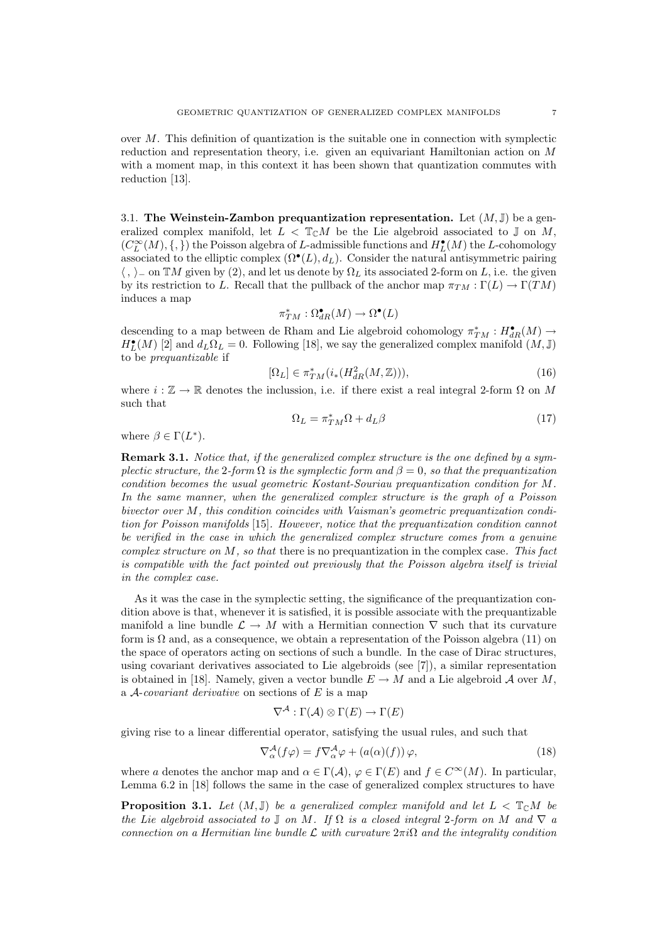over M. This definition of quantization is the suitable one in connection with symplectic reduction and representation theory, i.e. given an equivariant Hamiltonian action on M with a moment map, in this context it has been shown that quantization commutes with reduction [13].

3.1. The Weinstein-Zambon prequantization representation. Let  $(M, \mathbb{J})$  be a generalized complex manifold, let  $L < \mathbb{T}_{\mathbb{C}}M$  be the Lie algebroid associated to J on M,  $(C_L^{\infty}(M), \{,\})$  the Poisson algebra of L-admissible functions and  $H^{\bullet}_L(M)$  the L-cohomology associated to the elliptic complex  $(\Omega^{\bullet}(L), d_L)$ . Consider the natural antisymmetric pairing  $\langle , \rangle$  on TM given by (2), and let us denote by  $\Omega_L$  its associated 2-form on L, i.e. the given by its restriction to L. Recall that the pullback of the anchor map  $\pi_{TM} : \Gamma(L) \to \Gamma(TM)$ induces a map

$$
\pi_{TM}^*:\Omega_{dR}^\bullet(M)\to\Omega^\bullet(L)
$$

descending to a map between de Rham and Lie algebroid cohomology  $\pi^*_{TM} : H^{\bullet}_{dR}(M) \to$  $H_L^{\bullet}(M)$  [2] and  $d_L\Omega_L = 0$ . Following [18], we say the generalized complex manifold  $(M, J)$ to be prequantizable if

$$
[\Omega_L] \in \pi^*_{TM}(i_*(H^2_{dR}(M,\mathbb{Z}))),\tag{16}
$$

where  $i : \mathbb{Z} \to \mathbb{R}$  denotes the inclussion, i.e. if there exist a real integral 2-form  $\Omega$  on M such that

$$
\Omega_L = \pi_{TM}^* \Omega + d_L \beta \tag{17}
$$

where  $\beta \in \Gamma(L^*).$ 

Remark 3.1. Notice that, if the generalized complex structure is the one defined by a symplectic structure, the 2-form  $\Omega$  is the symplectic form and  $\beta = 0$ , so that the prequantization condition becomes the usual geometric Kostant-Souriau prequantization condition for M. In the same manner, when the generalized complex structure is the graph of a Poisson bivector over M, this condition coincides with Vaisman's geometric prequantization condition for Poisson manifolds [15]. However, notice that the prequantization condition cannot be verified in the case in which the generalized complex structure comes from a genuine  $complex structure on M$ , so that there is no prequantization in the complex case. This fact is compatible with the fact pointed out previously that the Poisson algebra itself is trivial in the complex case.

As it was the case in the symplectic setting, the significance of the prequantization condition above is that, whenever it is satisfied, it is possible associate with the prequantizable manifold a line bundle  $\mathcal{L} \to M$  with a Hermitian connection  $\nabla$  such that its curvature form is  $\Omega$  and, as a consequence, we obtain a representation of the Poisson algebra (11) on the space of operators acting on sections of such a bundle. In the case of Dirac structures, using covariant derivatives associated to Lie algebroids (see [7]), a similar representation is obtained in [18]. Namely, given a vector bundle  $E \to M$  and a Lie algebroid A over M, a  $A$ -covariant derivative on sections of  $E$  is a map

$$
\nabla^{\mathcal{A}} : \Gamma(\mathcal{A}) \otimes \Gamma(E) \to \Gamma(E)
$$

giving rise to a linear differential operator, satisfying the usual rules, and such that

$$
\nabla_{\alpha}^{\mathcal{A}}(f\varphi) = f \nabla_{\alpha}^{\mathcal{A}} \varphi + (a(\alpha)(f)) \varphi, \tag{18}
$$

where a denotes the anchor map and  $\alpha \in \Gamma(\mathcal{A}), \varphi \in \Gamma(E)$  and  $f \in C^{\infty}(M)$ . In particular, Lemma 6.2 in [18] follows the same in the case of generalized complex structures to have

**Proposition 3.1.** Let  $(M, J)$  be a generalized complex manifold and let  $L < \mathbb{T}_{\mathbb{C}}M$  be the Lie algebroid associated to  $\mathbb J$  on M. If  $\Omega$  is a closed integral 2-form on M and  $\nabla$  a connection on a Hermitian line bundle  $\mathcal L$  with curvature  $2\pi i\Omega$  and the integrality condition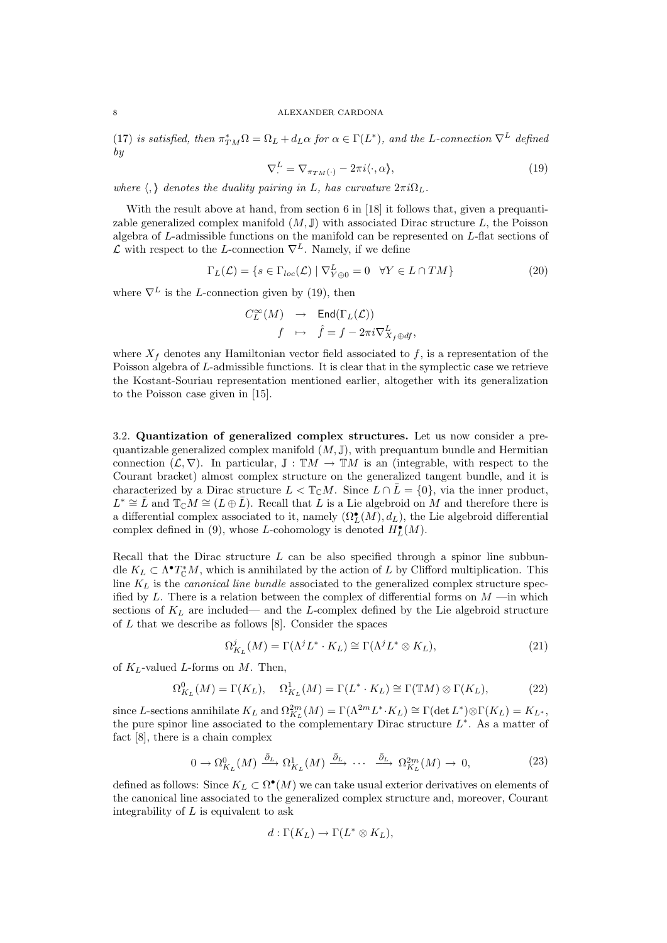#### 8 ALEXANDER CARDONA

(17) is satisfied, then  $\pi_{TM}^*\Omega = \Omega_L + d_L\alpha$  for  $\alpha \in \Gamma(L^*)$ , and the L-connection  $\nabla^L$  defined by

$$
\nabla^L = \nabla_{\pi_{TM}(\cdot)} - 2\pi i \langle \cdot, \alpha \rangle, \tag{19}
$$

where  $\langle , \rangle$  denotes the duality pairing in L, has curvature  $2\pi i \Omega_L$ .

With the result above at hand, from section 6 in [18] it follows that, given a prequantizable generalized complex manifold  $(M, J)$  with associated Dirac structure L, the Poisson algebra of L-admissible functions on the manifold can be represented on L-flat sections of  $\mathcal L$  with respect to the L-connection  $\nabla^L$ . Namely, if we define

$$
\Gamma_L(\mathcal{L}) = \{ s \in \Gamma_{loc}(\mathcal{L}) \mid \nabla^L_{Y \oplus 0} = 0 \quad \forall Y \in L \cap TM \}
$$
\n(20)

where  $\nabla^L$  is the L-connection given by (19), then

$$
\begin{array}{ccc} C_L^{\infty}(M) & \to & \operatorname{End}(\Gamma_L({\mathcal L})) \\[1mm] f & \mapsto & \hat{f}=f-2\pi i \nabla^L_{X_f\oplus df}, \end{array}
$$

where  $X_f$  denotes any Hamiltonian vector field associated to f, is a representation of the Poisson algebra of L-admissible functions. It is clear that in the symplectic case we retrieve the Kostant-Souriau representation mentioned earlier, altogether with its generalization to the Poisson case given in [15].

3.2. Quantization of generalized complex structures. Let us now consider a prequantizable generalized complex manifold  $(M, J)$ , with prequantum bundle and Hermitian connection  $(\mathcal{L}, \nabla)$ . In particular,  $\mathbb{J}: \mathbb{T}M \to \mathbb{T}M$  is an (integrable, with respect to the Courant bracket) almost complex structure on the generalized tangent bundle, and it is characterized by a Dirac structure  $L < \mathbb{T}_{\mathbb{C}}M$ . Since  $L \cap \overline{L} = \{0\}$ , via the inner product,  $L^* \cong \overline{L}$  and  $\mathbb{T}_{\mathbb{C}}M \cong (L \oplus \overline{L})$ . Recall that  $\overline{L}$  is a Lie algebroid on M and therefore there is a differential complex associated to it, namely  $(\Omega_L^{\bullet}(M), d_L)$ , the Lie algebroid differential complex defined in (9), whose L-cohomology is denoted  $H<sup>\bullet</sup><sub>L</sub>(M)$ .

Recall that the Dirac structure  $L$  can be also specified through a spinor line subbundle  $K_L \subset \Lambda^{\bullet}T_{\mathbb{C}}^*M$ , which is annihilated by the action of L by Clifford multiplication. This line  $K<sub>L</sub>$  is the canonical line bundle associated to the generalized complex structure specified by L. There is a relation between the complex of differential forms on  $M$  —in which sections of  $K_L$  are included— and the L-complex defined by the Lie algebroid structure of  $L$  that we describe as follows  $[8]$ . Consider the spaces

$$
\Omega_{K_L}^j(M) = \Gamma(\Lambda^j L^* \cdot K_L) \cong \Gamma(\Lambda^j L^* \otimes K_L),\tag{21}
$$

of  $K_L$ -valued L-forms on M. Then,

$$
\Omega_{K_L}^0(M) = \Gamma(K_L), \quad \Omega_{K_L}^1(M) = \Gamma(L^* \cdot K_L) \cong \Gamma(\mathbb{T}M) \otimes \Gamma(K_L), \tag{22}
$$

since L-sections annihilate  $K_L$  and  $\Omega_{K_L}^{2m}(M) = \Gamma(\Lambda^{2m}L^* \cdot K_L) \cong \Gamma(\det L^*) \otimes \Gamma(K_L) = K_{L^*},$ the pure spinor line associated to the complementary Dirac structure  $L^*$ . As a matter of fact [8], there is a chain complex

$$
0 \to \Omega_{K_L}^0(M) \xrightarrow{\bar{\partial}_L} \Omega_{K_L}^1(M) \xrightarrow{\bar{\partial}_L} \cdots \xrightarrow{\bar{\partial}_L} \Omega_{K_L}^{2m}(M) \to 0,
$$
\n
$$
(23)
$$

defined as follows: Since  $K_L \subset \Omega^{\bullet}(M)$  we can take usual exterior derivatives on elements of the canonical line associated to the generalized complex structure and, moreover, Courant integrability of  $L$  is equivalent to ask

$$
d: \Gamma(K_L) \to \Gamma(L^* \otimes K_L),
$$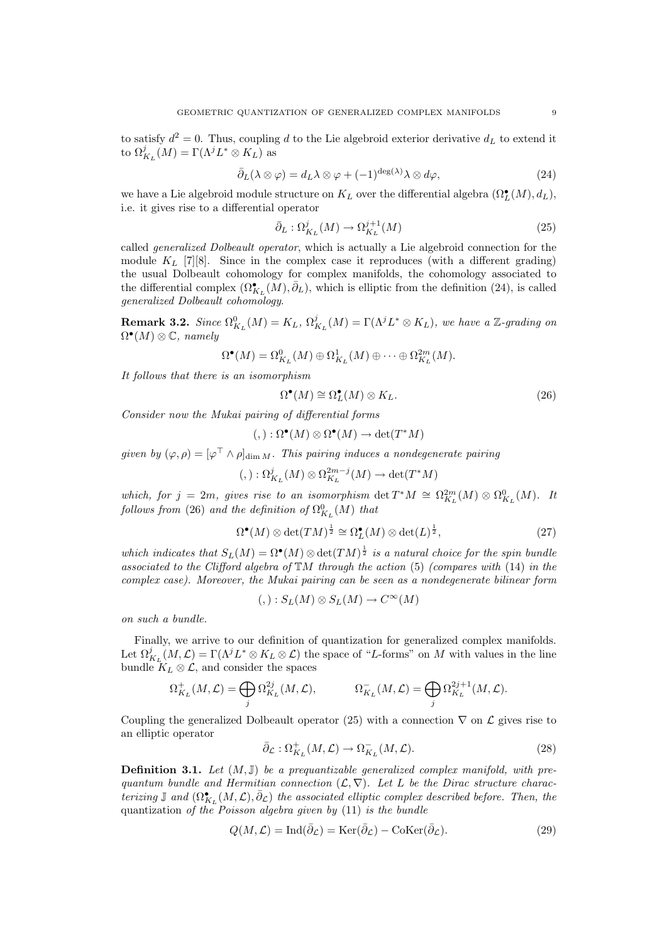to satisfy  $d^2 = 0$ . Thus, coupling d to the Lie algebroid exterior derivative  $d_L$  to extend it to  $\Omega_{K_L}^j(M) = \Gamma(\Lambda^j L^* \otimes K_L)$  as

$$
\bar{\partial}_L(\lambda \otimes \varphi) = d_L \lambda \otimes \varphi + (-1)^{\deg(\lambda)} \lambda \otimes d\varphi, \tag{24}
$$

we have a Lie algebroid module structure on  $K_L$  over the differential algebra  $(\Omega_L^{\bullet}(M), d_L)$ , i.e. it gives rise to a differential operator

$$
\bar{\partial}_L : \Omega^j_{K_L}(M) \to \Omega^{j+1}_{K_L}(M) \tag{25}
$$

called generalized Dolbeault operator, which is actually a Lie algebroid connection for the module  $K_L$  [7][8]. Since in the complex case it reproduces (with a different grading) the usual Dolbeault cohomology for complex manifolds, the cohomology associated to the differential complex  $(\Omega_{K_L}^{\bullet}(\tilde{M}), \bar{\partial}_L)$ , which is elliptic from the definition (24), is called generalized Dolbeault cohomology.

**Remark 3.2.** Since  $\Omega_{K_L}^0(M) = K_L$ ,  $\Omega_{K_L}^j(M) = \Gamma(\Lambda^j L^* \otimes K_L)$ , we have a Z-grading on  $\Omega^{\bullet}(M) \otimes \mathbb{C}$ , namely

$$
\Omega^{\bullet}(M) = \Omega^0_{K_L}(M) \oplus \Omega^1_{K_L}(M) \oplus \cdots \oplus \Omega^{2m}_{K_L}(M).
$$

It follows that there is an isomorphism

$$
\Omega^{\bullet}(M) \cong \Omega^{\bullet}_L(M) \otimes K_L. \tag{26}
$$

Consider now the Mukai pairing of differential forms

$$
(,): \Omega^{\bullet}(M) \otimes \Omega^{\bullet}(M) \to \det(T^*M)
$$

given by  $(\varphi, \rho) = [\varphi^\top \wedge \rho]_{\dim M}$ . This pairing induces a nondegenerate pairing

$$
(,): \Omega_{K_L}^j(M)\otimes \Omega_{K_L}^{2m-j}(M)\to \det(T^*M)
$$

which, for  $j = 2m$ , gives rise to an isomorphism  $\det T^*M \cong \Omega_{K_L}^{2m}(M) \otimes \Omega_{K_L}^0(M)$ . It follows from (26) and the definition of  $\Omega_{K_L}^0(M)$  that

$$
\Omega^{\bullet}(M) \otimes \det(TM)^{\frac{1}{2}} \cong \Omega^{\bullet}_{L}(M) \otimes \det(L)^{\frac{1}{2}},\tag{27}
$$

which indicates that  $S_L(M) = \Omega^{\bullet}(M) \otimes \det(TM)^{\frac{1}{2}}$  is a natural choice for the spin bundle associated to the Clifford algebra of  $TM$  through the action (5) (compares with (14) in the complex case). Moreover, the Mukai pairing can be seen as a nondegenerate bilinear form

$$
(,):S_L(M)\otimes S_L(M)\to C^\infty(M)
$$

on such a bundle.

Finally, we arrive to our definition of quantization for generalized complex manifolds. Let  $\Omega_{K_L}^j(M,\mathcal{L}) = \Gamma(\Lambda^j L^* \otimes K_L \otimes \mathcal{L})$  the space of "L-forms" on M with values in the line bundle  $K_L \otimes \mathcal{L}$ , and consider the spaces

$$
\Omega_{K_L}^+(M,{\mathcal L})=\bigoplus_j \Omega_{K_L}^{2j}(M,{\mathcal L}), \qquad \qquad \Omega_{K_L}^-(M,{\mathcal L})=\bigoplus_j \Omega_{K_L}^{2j+1}(M,{\mathcal L}).
$$

Coupling the generalized Dolbeault operator (25) with a connection  $\nabla$  on  $\mathcal L$  gives rise to an elliptic operator

$$
\bar{\partial}_{\mathcal{L}} : \Omega_{K_L}^+(M, \mathcal{L}) \to \Omega_{K_L}^-(M, \mathcal{L}).
$$
\n(28)

**Definition 3.1.** Let  $(M, J)$  be a prequantizable generalized complex manifold, with prequantum bundle and Hermitian connection  $(L, \nabla)$ . Let L be the Dirac structure characterizing  $\mathbb J$  and  $(\Omega_{K_L}^{\bullet}(M,\mathcal L),\bar\partial_{\mathcal L})$  the associated elliptic complex described before. Then, the quantization of the Poisson algebra given by (11) is the bundle

$$
Q(M,\mathcal{L}) = \text{Ind}(\bar{\partial}_{\mathcal{L}}) = \text{Ker}(\bar{\partial}_{\mathcal{L}}) - \text{Coker}(\bar{\partial}_{\mathcal{L}}). \tag{29}
$$